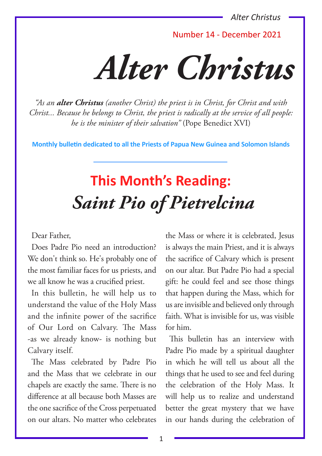Number 14 - December 2021

*Alter Christus*

*"As an alter Christus (another Christ) the priest is in Christ, for Christ and with Christ... Because he belongs to Christ, the priest is radically at the service of all people: he is the minister of their salvation"* (Pope Benedict XVI)

**Monthly bulletin dedicated to all the Priests of Papua New Guinea and Solomon Islands**

# **This Month's Reading:**  *Saint Pio of Pietrelcina*

Dear Father,

Does Padre Pio need an introduction? We don't think so. He's probably one of the most familiar faces for us priests, and we all know he was a crucified priest.

In this bulletin, he will help us to understand the value of the Holy Mass and the infinite power of the sacrifice of Our Lord on Calvary. The Mass -as we already know- is nothing but Calvary itself.

The Mass celebrated by Padre Pio and the Mass that we celebrate in our chapels are exactly the same. There is no difference at all because both Masses are the one sacrifice of the Cross perpetuated on our altars. No matter who celebrates

the Mass or where it is celebrated, Jesus is always the main Priest, and it is always the sacrifice of Calvary which is present on our altar. But Padre Pio had a special gift: he could feel and see those things that happen during the Mass, which for us are invisible and believed only through faith. What is invisible for us, was visible for him.

This bulletin has an interview with Padre Pio made by a spiritual daughter in which he will tell us about all the things that he used to see and feel during the celebration of the Holy Mass. It will help us to realize and understand better the great mystery that we have in our hands during the celebration of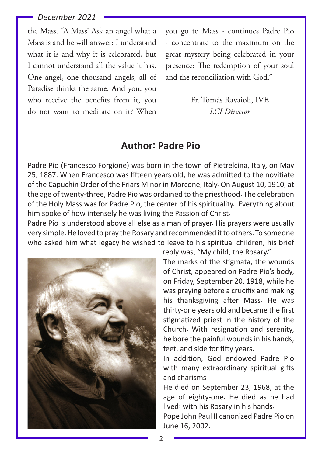the Mass. "A Mass! Ask an angel what a Mass is and he will answer: I understand what it is and why it is celebrated, but I cannot understand all the value it has. One angel, one thousand angels, all of Paradise thinks the same. And you, you who receive the benefits from it, you do not want to meditate on it? When

you go to Mass - continues Padre Pio - concentrate to the maximum on the great mystery being celebrated in your presence: The redemption of your soul and the reconciliation with God."

> Fr. Tomás Ravaioli, IVE *LCI Director*

# **Author: Padre Pio**

Padre Pio (Francesco Forgione) was born in the town of Pietrelcina, Italy, on May 25, 1887. When Francesco was fifteen years old, he was admitted to the novitiate of the Capuchin Order of the Friars Minor in Morcone, Italy. On August 10, 1910, at the age of twenty-three, Padre Pio was ordained to the priesthood. The celebration of the Holy Mass was for Padre Pio, the center of his spirituality. Everything about him spoke of how intensely he was living the Passion of Christ.

Padre Pio is understood above all else as a man of prayer. His prayers were usually very simple. He loved to pray the Rosary and recommended it to others. To someone who asked him what legacy he wished to leave to his spiritual children, his brief



reply was, "My child, the Rosary." The marks of the stigmata, the wounds of Christ, appeared on Padre Pio's body, on Friday, September 20, 1918, while he was praying before a crucifix and making his thanksgiving after Mass. He was thirty-one years old and became the first stigmatized priest in the history of the Church. With resignation and serenity, he bore the painful wounds in his hands, feet, and side for fifty years.

In addition, God endowed Padre Pio with many extraordinary spiritual gifts and charisms

He died on September 23, 1968, at the age of eighty-one. He died as he had lived: with his Rosary in his hands.

Pope John Paul II canonized Padre Pio on June 16, 2002.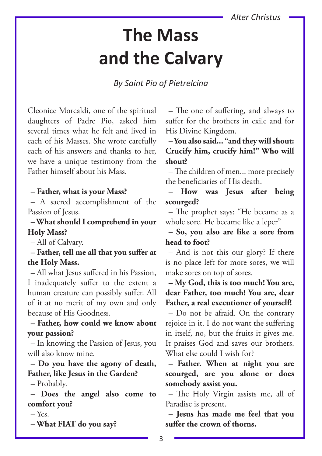# **The Mass and the Calvary**

*By Saint Pio of Pietrelcina*

Cleonice Morcaldi, one of the spiritual daughters of Padre Pio, asked him several times what he felt and lived in each of his Masses. She wrote carefully each of his answers and thanks to her, we have a unique testimony from the Father himself about his Mass.

#### **– Father, what is your Mass?**

– A sacred accomplishment of the Passion of Jesus.

**– What should I comprehend in your Holy Mass?**

– All of Calvary.

**– Father, tell me all that you suffer at the Holy Mass.**

– All what Jesus suffered in his Passion, I inadequately suffer to the extent a human creature can possibly suffer. All of it at no merit of my own and only because of His Goodness.

**– Father, how could we know about your passion?**

– In knowing the Passion of Jesus, you will also know mine.

**– Do you have the agony of death, Father, like Jesus in the Garden?**

– Probably.

**– Does the angel also come to comfort you?**

– Yes.

**– What FIAT do you say?**

– The one of suffering, and always to suffer for the brothers in exile and for His Divine Kingdom.

**– You also said... "and they will shout: Crucify him, crucify him!" Who will shout?**

– The children of men... more precisely the beneficiaries of His death.

**– How was Jesus after being scourged?**

– The prophet says: "He became as a whole sore. He became like a leper"

**– So, you also are like a sore from head to foot?**

– And is not this our glory? If there is no place left for more sores, we will make sores on top of sores.

**– My God, this is too much! You are, dear Father, too much! You are, dear Father, a real executioner of yourself!**

– Do not be afraid. On the contrary rejoice in it. I do not want the suffering in itself, no, but the fruits it gives me. It praises God and saves our brothers. What else could I wish for?

**– Father. When at night you are scourged, are you alone or does somebody assist you.**

– The Holy Virgin assists me, all of Paradise is present.

**– Jesus has made me feel that you suffer the crown of thorns.**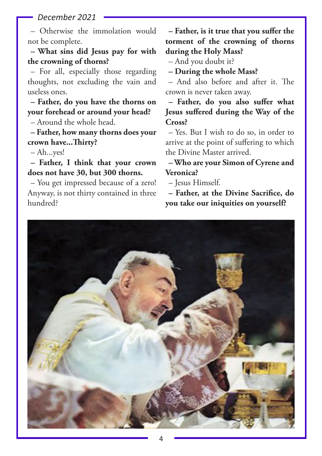– Otherwise the immolation would not be complete.

**– What sins did Jesus pay for with the crowning of thorns?**

– For all, especially those regarding thoughts, not excluding the vain and useless ones.

**– Father, do you have the thorns on your forehead or around your head?** – Around the whole head.

**– Father, how many thorns does your crown have...Thirty?**

– Ah...yes!

**– Father, I think that your crown does not have 30, but 300 thorns.**

– You get impressed because of a zero! Anyway, is not thirty contained in three hundred?

**– Father, is it true that you suffer the torment of the crowning of thorns during the Holy Mass?**

– And you doubt it?

**– During the whole Mass?**

– And also before and after it. The crown is never taken away.

**– Father, do you also suffer what Jesus suffered during the Way of the Cross?**

– Yes. But I wish to do so, in order to arrive at the point of suffering to which the Divine Master arrived.

**– Who are your Simon of Cyrene and Veronica?**

– Jesus Himself.

**– Father, at the Divine Sacrifice, do you take our iniquities on yourself?**

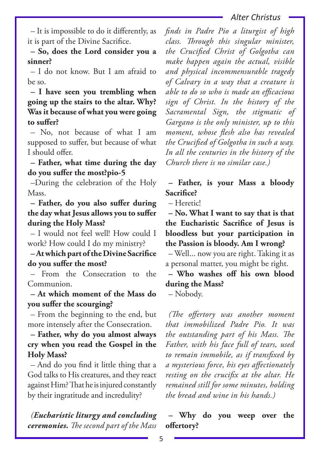– It is impossible to do it differently, as it is part of the Divine Sacrifice.

**– So, does the Lord consider you a sinner?**

– I do not know. But I am afraid to be so.

**– I have seen you trembling when going up the stairs to the altar. Why? Was it because of what you were going to suffer?**

– No, not because of what I am supposed to suffer, but because of what I should offer.

**– Father, what time during the day do you suffer the most?pio-5**

–During the celebration of the Holy Mass.

**– Father, do you also suffer during the day what Jesus allows you to suffer during the Holy Mass?**

– I would not feel well! How could I work? How could I do my ministry?

**– At which part of the Divine Sacrifice do you suffer the most?**

– From the Consecration to the Communion.

**– At which moment of the Mass do you suffer the scourging?**

– From the beginning to the end, but more intensely after the Consecration.

**– Father, why do you almost always cry when you read the Gospel in the Holy Mass?**

– And do you find it little thing that a God talks to His creatures, and they react against Him? That he is injured constantly by their ingratitude and incredulity?

*(Eucharistic liturgy and concluding ceremonies. The second part of the Mass* 

*finds in Padre Pio a liturgist of high class. Through this singular minister, the Crucified Christ of Golgotha can make happen again the actual, visible and physical incommensurable tragedy of Calvary in a way that a creature is able to do so who is made an efficacious sign of Christ. In the history of the Sacramental Sign, the stigmatic of Gargano is the only minister, up to this moment, whose flesh also has revealed the Crucified of Golgotha in such a way. In all the centuries in the history of the Church there is no similar case.)*

**– Father, is your Mass a bloody Sacrifice?**

– Heretic!

**– No. What I want to say that is that the Eucharistic Sacrifice of Jesus is bloodless but your participation in the Passion is bloody. Am I wrong?**

– Well... now you are right. Taking it as a personal matter, you might be right.

**– Who washes off his own blood during the Mass?**

– Nobody.

*(The offertory was another moment that immobilized Padre Pio. It was the outstanding part of his Mass. The Father, with his face full of tears, used to remain immobile, as if transfixed by a mysterious force, his eyes affectionately resting on the crucifix at the altar. He remained still for some minutes, holding the bread and wine in his hands.)*

**– Why do you weep over the offertory?**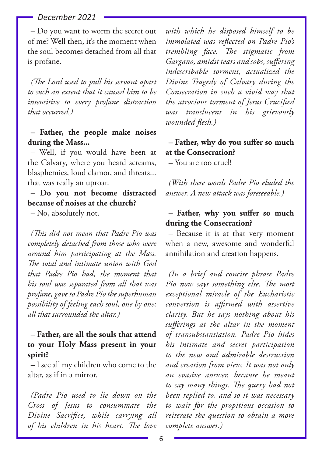– Do you want to worm the secret out of me? Well then, it's the moment when the soul becomes detached from all that is profane.

*(The Lord used to pull his servant apart to such an extent that it caused him to be insensitive to every profane distraction that occurred.)*

### **– Father, the people make noises during the Mass...**

– Well, if you would have been at the Calvary, where you heard screams, blasphemies, loud clamor, and threats... that was really an uproar.

## **– Do you not become distracted because of noises at the church?**

– No, absolutely not.

*(This did not mean that Padre Pio was completely detached from those who were around him participating at the Mass. The total and intimate union with God that Padre Pio had, the moment that his soul was separated from all that was profane, gave to Padre Pio the superhuman possibility of feeling each soul, one by one; all that surrounded the altar.)*

### **– Father, are all the souls that attend to your Holy Mass present in your spirit?**

– I see all my children who come to the altar, as if in a mirror.

*(Padre Pio used to lie down on the Cross of Jesus to consummate the Divine Sacrifice, while carrying all of his children in his heart. The love*  *with which he disposed himself to be immolated was reflected on Padre Pio's trembling face. The stigmatic from Gargano, amidst tears and sobs, suffering indescribable torment, actualized the Divine Tragedy of Calvary during the Consecration in such a vivid way that the atrocious torment of Jesus Crucified was translucent in his grievously wounded flesh.)*

# **– Father, why do you suffer so much at the Consecration?**

– You are too cruel!

*(With these words Padre Pio eluded the answer. A new attack was foreseeable.)*

### **– Father, why you suffer so much during the Consecration?**

– Because it is at that very moment when a new, awesome and wonderful annihilation and creation happens.

*(In a brief and concise phrase Padre Pio now says something else. The most exceptional miracle of the Eucharistic conversion is affirmed with assertive clarity. But he says nothing about his sufferings at the altar in the moment of transubstantiation. Padre Pio hides his intimate and secret participation to the new and admirable destruction and creation from view. It was not only an evasive answer, because he meant to say many things. The query had not been replied to, and so it was necessary to wait for the propitious occasion to reiterate the question to obtain a more complete answer.)*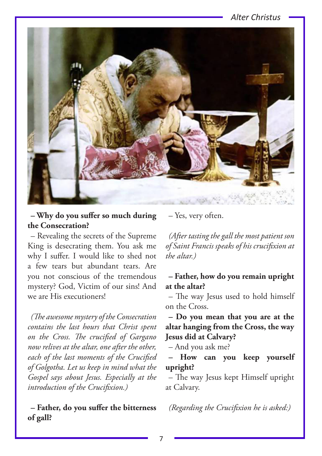

**– Why do you suffer so much during the Consecration?**

– Revealing the secrets of the Supreme King is desecrating them. You ask me why I suffer. I would like to shed not a few tears but abundant tears. Are you not conscious of the tremendous mystery? God, Victim of our sins! And we are His executioners!

*(The awesome mystery of the Consecration contains the last hours that Christ spent on the Cross. The crucified of Gargano now relives at the altar, one after the other, each of the last moments of the Crucified of Golgotha. Let us keep in mind what the Gospel says about Jesus. Especially at the introduction of the Crucifixion.)*

**– Father, do you suffer the bitterness of gall?**

– Yes, very often.

*(After tasting the gall the most patient son of Saint Francis speaks of his crucifixion at the altar.)*

**– Father, how do you remain upright at the altar?**

– The way Jesus used to hold himself on the Cross.

**– Do you mean that you are at the altar hanging from the Cross, the way Jesus did at Calvary?**

– And you ask me?

**– How can you keep yourself upright?**

– The way Jesus kept Himself upright at Calvary.

*(Regarding the Crucifixion he is asked:)*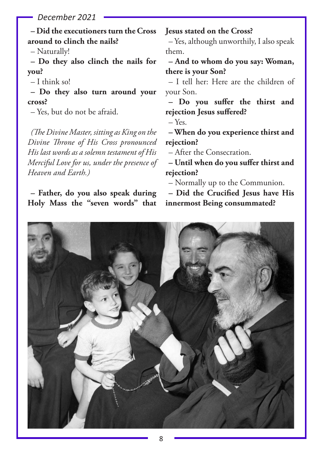**– Did the executioners turn the Cross around to clinch the nails?**

– Naturally!

**– Do they also clinch the nails for you?**

– I think so!

**– Do they also turn around your cross?**

– Yes, but do not be afraid.

*(The Divine Master, sitting as King on the Divine Throne of His Cross pronounced His last words as a solemn testament of His Merciful Love for us, under the presence of Heaven and Earth.)*

**– Father, do you also speak during Holy Mass the "seven words" that**  **Jesus stated on the Cross?**

– Yes, although unworthily, I also speak them.

**– And to whom do you say: Woman, there is your Son?**

– I tell her: Here are the children of your Son.

**– Do you suffer the thirst and rejection Jesus suffered?**

 $-$  Yes.

**– When do you experience thirst and rejection?**

– After the Consecration.

**– Until when do you suffer thirst and rejection?**

– Normally up to the Communion.

**– Did the Crucified Jesus have His innermost Being consummated?**

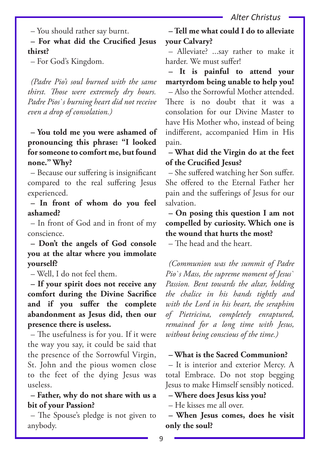– You should rather say burnt.

**– For what did the Crucified Jesus thirst?**

– For God's Kingdom.

*(Padre Pio's soul burned with the same thirst. Those were extremely dry hours. Padre Pios`s burning heart did not receive even a drop of consolation.)*

**– You told me you were ashamed of pronouncing this phrase: "I looked for someone to comfort me, but found none." Why?**

– Because our suffering is insignificant compared to the real suffering Jesus experienced.

**– In front of whom do you feel ashamed?**

– In front of God and in front of my conscience.

**– Don't the angels of God console you at the altar where you immolate yourself?**

– Well, I do not feel them.

**– If your spirit does not receive any comfort during the Divine Sacrifice and if you suffer the complete abandonment as Jesus did, then our presence there is useless.**

– The usefulness is for you. If it were the way you say, it could be said that the presence of the Sorrowful Virgin, St. John and the pious women close to the feet of the dying Jesus was useless.

**– Father, why do not share with us a bit of your Passion?**

– The Spouse's pledge is not given to anybody.

**– Tell me what could I do to alleviate your Calvary?**

– Alleviate? ...say rather to make it harder. We must suffer!

**– It is painful to attend your martyrdom being unable to help you!** – Also the Sorrowful Mother attended. There is no doubt that it was a consolation for our Divine Master to have His Mother who, instead of being indifferent, accompanied Him in His pain.

# **– What did the Virgin do at the feet of the Crucified Jesus?**

– She suffered watching her Son suffer. She offered to the Eternal Father her pain and the sufferings of Jesus for our salvation.

# **– On posing this question I am not compelled by curiosity. Which one is the wound that hurts the most?**

– The head and the heart.

*(Communion was the summit of Padre Pio`s Mass, the supreme moment of Jesus` Passion. Bent towards the altar, holding the chalice in his hands tightly and with the Lord in his heart, the seraphim of Pietricina, completely enraptured, remained for a long time with Jesus, without being conscious of the time.)*

**– What is the Sacred Communion?**

– It is interior and exterior Mercy. A total Embrace. Do not stop begging Jesus to make Himself sensibly noticed.

**– Where does Jesus kiss you?**

– He kisses me all over.

**– When Jesus comes, does he visit only the soul?**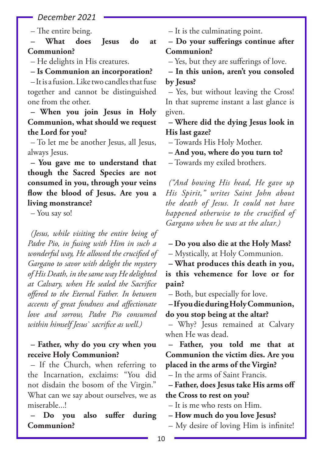– The entire being.

**– What does Jesus do at Communion?**

– He delights in His creatures.

**– Is Communion an incorporation?**

– It is a fusion. Like two candles that fuse together and cannot be distinguished one from the other.

### **– When you join Jesus in Holy Communion, what should we request the Lord for you?**

– To let me be another Jesus, all Jesus, always Jesus.

**– You gave me to understand that though the Sacred Species are not consumed in you, through your veins flow the blood of Jesus. Are you a living monstrance?**

– You say so!

*(Jesus, while visiting the entire being of Padre Pio, in fusing with Him in such a wonderful way, He allowed the crucified of Gargano to savor with delight the mystery of His Death, in the same way He delighted at Calvary, when He sealed the Sacrifice offered to the Eternal Father. In between accents of great fondness and affectionate love and sorrow, Padre Pio consumed within himself Jesus` sacrifice as well.)*

## **– Father, why do you cry when you receive Holy Communion?**

– If the Church, when referring to the Incarnation, exclaims: "You did not disdain the bosom of the Virgin." What can we say about ourselves, we as miserable...!

**– Do you also suffer during Communion?**

– It is the culminating point.

**– Do your sufferings continue after Communion?**

– Yes, but they are sufferings of love.

**– In this union, aren't you consoled by Jesus?**

– Yes, but without leaving the Cross! In that supreme instant a last glance is given.

**– Where did the dying Jesus look in His last gaze?**

– Towards His Holy Mother.

**– And you, where do you turn to?**

– Towards my exiled brothers.

*("And bowing His head, He gave up His Spirit," writes Saint John about the death of Jesus. It could not have happened otherwise to the crucified of Gargano when he was at the altar.)*

**– Do you also die at the Holy Mass?**

– Mystically, at Holy Communion.

**– What produces this death in you, is this vehemence for love or for pain?**

– Both, but especially for love.

**– If you die during Holy Communion, do you stop being at the altar?**

– Why? Jesus remained at Calvary when He was dead.

**– Father, you told me that at Communion the victim dies. Are you placed in the arms of the Virgin?**

– In the arms of Saint Francis.

**– Father, does Jesus take His arms off the Cross to rest on you?**

– It is me who rests on Him.

**– How much do you love Jesus?**

– My desire of loving Him is infinite!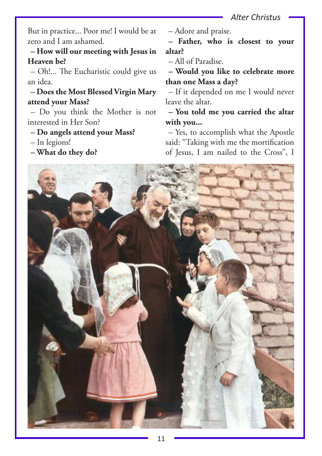But in practice... Poor me! I would be at zero and I am ashamed.

# **– How will our meeting with Jesus in Heaven be?**

– Oh!... The Eucharistic could give us an idea.

**– Does the Most Blessed Virgin Mary attend your Mass?**

– Do you think the Mother is not interested in Her Son?

#### **– Do angels attend your Mass?**

- In legions!
- **What do they do?**

– Adore and praise.

**– Father, who is closest to your altar?**

– All of Paradise.

**– Would you like to celebrate more than one Mass a day?**

– If it depended on me I would never leave the altar.

**– You told me you carried the altar with you...**

– Yes, to accomplish what the Apostle said: "Taking with me the mortification of Jesus, I am nailed to the Cross", I